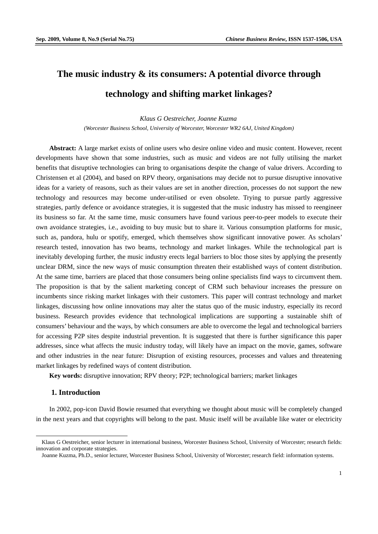# **The music industry & its consumers: A potential divorce through technology and shifting market linkages?**

#### *Klaus G Oestreicher, Joanne Kuzma*

*(Worcester Business School, University of Worcester, Worcester WR2 6AJ, United Kingdom)* 

**Abstract:** A large market exists of online users who desire online video and music content. However, recent developments have shown that some industries, such as music and videos are not fully utilising the market benefits that disruptive technologies can bring to organisations despite the change of value drivers. According to Christensen et al (2004), and based on RPV theory, organisations may decide not to pursue disruptive innovative ideas for a variety of reasons, such as their values are set in another direction, processes do not support the new technology and resources may become under-utilised or even obsolete. Trying to pursue partly aggressive strategies, partly defence or avoidance strategies, it is suggested that the music industry has missed to reengineer its business so far. At the same time, music consumers have found various peer-to-peer models to execute their own avoidance strategies, i.e., avoiding to buy music but to share it. Various consumption platforms for music, such as, pandora, hulu or spotify, emerged, which themselves show significant innovative power. As scholars' research tested, innovation has two beams, technology and market linkages. While the technological part is inevitably developing further, the music industry erects legal barriers to bloc those sites by applying the presently unclear DRM, since the new ways of music consumption threaten their established ways of content distribution. At the same time, barriers are placed that those consumers being online specialists find ways to circumvent them. The proposition is that by the salient marketing concept of CRM such behaviour increases the pressure on incumbents since risking market linkages with their customers. This paper will contrast technology and market linkages, discussing how online innovations may alter the status quo of the music industry, especially its record business. Research provides evidence that technological implications are supporting a sustainable shift of consumers' behaviour and the ways, by which consumers are able to overcome the legal and technological barriers for accessing P2P sites despite industrial prevention. It is suggested that there is further significance this paper addresses, since what affects the music industry today, will likely have an impact on the movie, games, software and other industries in the near future: Disruption of existing resources, processes and values and threatening market linkages by redefined ways of content distribution.

**Key words:** disruptive innovation; RPV theory; P2P; technological barriers; market linkages

# **1. Introduction**

 $\overline{a}$ 

In 2002, pop-icon David Bowie resumed that everything we thought about music will be completely changed in the next years and that copyrights will belong to the past. Music itself will be available like water or electricity

Klaus G Oestreicher, senior lecturer in international business, Worcester Business School, University of Worcester; research fields: innovation and corporate strategies.

Joanne Kuzma, Ph.D., senior lecturer, Worcester Business School, University of Worcester; research field: information systems.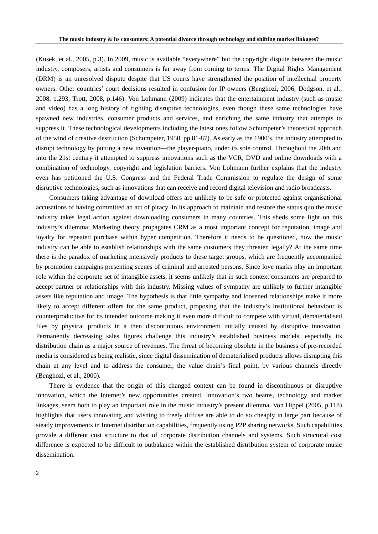(Kusek, et al., 2005, p.3). In 2009, music is available "everywhere" but the copyright dispute between the music industry, composers, artists and consumers is far away from coming to terms. The Digital Rights Management (DRM) is an unresolved dispute despite that US courts have strengthened the position of intellectual property owners. Other countries' court decisions resulted in confusion for IP owners (Benghozi, 2006; Dodgson, et al., 2008, p.293; Trott, 2008, p.146). Von Lohmann (2009) indicates that the entertainment industry (such as music and video) has a long history of fighting disruptive technologies, even though these same technologies have spawned new industries, consumer products and services, and enriching the same industry that attempts to suppress it. These technological developments including the latest ones follow Schumpeter's theoretical approach of the wind of creative destruction (Schumpeter, 1950, pp.81-87). As early as the 1900's, the industry attempted to disrupt technology by putting a new invention—the player-piano, under its sole control. Throughout the 20th and into the 21st century it attempted to suppress innovations such as the VCR, DVD and online downloads with a combination of technology, copyright and legislation barriers. Von Lohmann further explains that the industry even has petitioned the U.S. Congress and the Federal Trade Commission to regulate the design of some disruptive technologies, such as innovations that can receive and record digital television and radio broadcasts.

Consumers taking advantage of download offers are unlikely to be safe or protected against organisational accusations of having committed an act of piracy. In its approach to maintain and restore the status quo the music industry takes legal action against downloading consumers in many countries. This sheds some light on this industry's dilemma: Marketing theory propagates CRM as a most important concept for reputation, image and loyalty for repeated purchase within hyper competition. Therefore it needs to be questioned, how the music industry can be able to establish relationships with the same customers they threaten legally? At the same time there is the paradox of marketing intensively products to these target groups, which are frequently accompanied by promotion campaigns presenting scenes of criminal and arrested persons. Since love marks play an important role within the corporate set of intangible assets, it seems unlikely that in such context consumers are prepared to accept partner or relationships with this industry. Missing values of sympathy are unlikely to further intangible assets like reputation and image. The hypothesis is that little sympathy and loosened relationships make it more likely to accept different offers for the same product, proposing that the industry's institutional behaviour is counterproductive for its intended outcome making it even more difficult to compete with virtual, dematerialised files by physical products in a then discontinuous environment initially caused by disruptive innovation. Permanently decreasing sales figures challenge this industry's established business models, especially its distribution chain as a major source of revenues. The threat of becoming obsolete in the business of pre-recorded media is considered as being realistic, since digital dissemination of dematerialised products allows disrupting this chain at any level and to address the consumer, the value chain's final point, by various channels directly (Benghozi, et al., 2000).

There is evidence that the origin of this changed context can be found in discontinuous or disruptive innovation, which the Internet's new opportunities created. Innovation's two beams, technology and market linkages, seem both to play an important role in the music industry's present dilemma. Von Hippel (2005, p.118) highlights that users innovating and wishing to freely diffuse are able to do so cheaply in large part because of steady improvements in Internet distribution capabilities, frequently using P2P sharing networks. Such capabilities provide a different cost structure to that of corporate distribution channels and systems. Such structural cost difference is expected to be difficult to outbalance within the established distribution system of corporate music dissemination.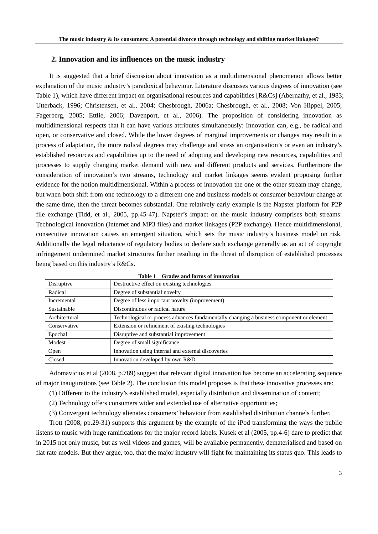#### **2. Innovation and its influences on the music industry**

It is suggested that a brief discussion about innovation as a multidimensional phenomenon allows better explanation of the music industry's paradoxical behaviour. Literature discusses various degrees of innovation (see Table 1), which have different impact on organisational resources and capabilities [R&Cs] (Abernathy, et al., 1983; Utterback, 1996; Christensen, et al., 2004; Chesbrough, 2006a; Chesbrough, et al., 2008; Von Hippel, 2005; Fagerberg, 2005; Ettlie, 2006; Davenport, et al., 2006). The proposition of considering innovation as multidimensional respects that it can have various attributes simultaneously: Innovation can, e.g., be radical and open, or conservative and closed. While the lower degrees of marginal improvements or changes may result in a process of adaptation, the more radical degrees may challenge and stress an organisation's or even an industry's established resources and capabilities up to the need of adopting and developing new resources, capabilities and processes to supply changing market demand with new and different products and services. Furthermore the consideration of innovation's two streams, technology and market linkages seems evident proposing further evidence for the notion multidimensional. Within a process of innovation the one or the other stream may change, but when both shift from one technology to a different one and business models or consumer behaviour change at the same time, then the threat becomes substantial. One relatively early example is the Napster platform for P2P file exchange (Tidd, et al., 2005, pp.45-47). Napster's impact on the music industry comprises both streams: Technological innovation (Internet and MP3 files) and market linkages (P2P exchange). Hence multidimensional, consecutive innovation causes an emergent situation, which sets the music industry's business model on risk. Additionally the legal reluctance of regulatory bodies to declare such exchange generally as an act of copyright infringement undermined market structures further resulting in the threat of disruption of established processes being based on this industry's R&Cs.

| Disruptive    | Destructive effect on existing technologies                                              |  |
|---------------|------------------------------------------------------------------------------------------|--|
| Radical       | Degree of substantial novelty                                                            |  |
| Incremental   | Degree of less important novelty (improvement)                                           |  |
| Sustainable   | Discontinuous or radical nature                                                          |  |
| Architectural | Technological or process advances fundamentally changing a business component or element |  |
| Conservative  | Extension or refinement of existing technologies                                         |  |
| Epochal       | Disruptive and substantial improvement                                                   |  |
| Modest        | Degree of small significance                                                             |  |
| Open          | Innovation using internal and external discoveries                                       |  |
| Closed        | Innovation developed by own R&D                                                          |  |

**Table 1 Grades and forms of innovation**

Adomavicius et al (2008, p.789) suggest that relevant digital innovation has become an accelerating sequence of major inaugurations (see Table 2). The conclusion this model proposes is that these innovative processes are:

(1) Different to the industry's established model, especially distribution and dissemination of content;

(2) Technology offers consumers wider and extended use of alternative opportunities;

(3) Convergent technology alienates consumers' behaviour from established distribution channels further.

Trott (2008, pp.29-31) supports this argument by the example of the iPod transforming the ways the public listens to music with huge ramifications for the major record labels. Kusek et al (2005, pp.4-6) dare to predict that in 2015 not only music, but as well videos and games, will be available permanently, dematerialised and based on flat rate models. But they argue, too, that the major industry will fight for maintaining its status quo. This leads to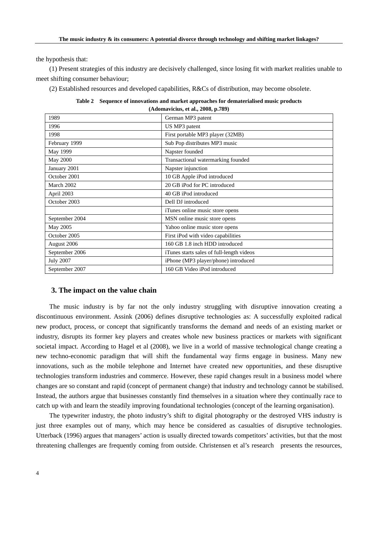the hypothesis that:

(1) Present strategies of this industry are decisively challenged, since losing fit with market realities unable to meet shifting consumer behaviour;

(2) Established resources and developed capabilities, R&Cs of distribution, may become obsolete.

|                                    | Table 2 Sequence of innovations and market approaches for dematerialised music products |  |
|------------------------------------|-----------------------------------------------------------------------------------------|--|
| (Adomavicius, et al., 2008, p.789) |                                                                                         |  |

| 1989             | German MP3 patent                         |
|------------------|-------------------------------------------|
| 1996             | US MP3 patent                             |
| 1998             | First portable MP3 player (32MB)          |
| February 1999    | Sub Pop distributes MP3 music             |
| May 1999         | Napster founded                           |
| May 2000         | Transactional watermarking founded        |
| January 2001     | Napster injunction                        |
| October 2001     | 10 GB Apple iPod introduced               |
| March 2002       | 20 GB iPod for PC introduced              |
| April 2003       | 40 GB iPod introduced                     |
| October 2003     | Dell DJ introduced                        |
|                  | iTunes online music store opens           |
| September 2004   | MSN online music store opens              |
| May 2005         | Yahoo online music store opens            |
| October 2005     | First iPod with video capabilities        |
| August 2006      | 160 GB 1.8 inch HDD introduced            |
| September 2006   | iTunes starts sales of full-length videos |
| <b>July 2007</b> | iPhone (MP3 player/phone) introduced      |
| September 2007   | 160 GB Video iPod introduced              |

### **3. The impact on the value chain**

The music industry is by far not the only industry struggling with disruptive innovation creating a discontinuous environment. Assink (2006) defines disruptive technologies as: A successfully exploited radical new product, process, or concept that significantly transforms the demand and needs of an existing market or industry, disrupts its former key players and creates whole new business practices or markets with significant societal impact. According to Hagel et al (2008), we live in a world of massive technological change creating a new techno-economic paradigm that will shift the fundamental way firms engage in business. Many new innovations, such as the mobile telephone and Internet have created new opportunities, and these disruptive technologies transform industries and commerce. However, these rapid changes result in a business model where changes are so constant and rapid (concept of permanent change) that industry and technology cannot be stabilised. Instead, the authors argue that businesses constantly find themselves in a situation where they continually race to catch up with and learn the steadily improving foundational technologies (concept of the learning organisation).

The typewriter industry, the photo industry's shift to digital photography or the destroyed VHS industry is just three examples out of many, which may hence be considered as casualties of disruptive technologies. Utterback (1996) argues that managers' action is usually directed towards competitors' activities, but that the most threatening challenges are frequently coming from outside. Christensen et al's research presents the resources,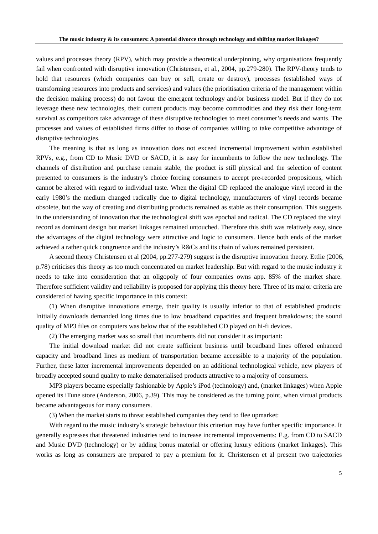values and processes theory (RPV), which may provide a theoretical underpinning, why organisations frequently fail when confronted with disruptive innovation (Christensen, et al., 2004, pp.279-280). The RPV-theory tends to hold that resources (which companies can buy or sell, create or destroy), processes (established ways of transforming resources into products and services) and values (the prioritisation criteria of the management within the decision making process) do not favour the emergent technology and/or business model. But if they do not leverage these new technologies, their current products may become commodities and they risk their long-term survival as competitors take advantage of these disruptive technologies to meet consumer's needs and wants. The processes and values of established firms differ to those of companies willing to take competitive advantage of disruptive technologies.

The meaning is that as long as innovation does not exceed incremental improvement within established RPVs, e.g., from CD to Music DVD or SACD, it is easy for incumbents to follow the new technology. The channels of distribution and purchase remain stable, the product is still physical and the selection of content presented to consumers is the industry's choice forcing consumers to accept pre-recorded propositions, which cannot be altered with regard to individual taste. When the digital CD replaced the analogue vinyl record in the early 1980's the medium changed radically due to digital technology, manufacturers of vinyl records became obsolete, but the way of creating and distributing products remained as stable as their consumption. This suggests in the understanding of innovation that the technological shift was epochal and radical. The CD replaced the vinyl record as dominant design but market linkages remained untouched. Therefore this shift was relatively easy, since the advantages of the digital technology were attractive and logic to consumers. Hence both ends of the market achieved a rather quick congruence and the industry's R&Cs and its chain of values remained persistent.

A second theory Christensen et al (2004, pp.277-279) suggest is the disruptive innovation theory. Ettlie (2006, p.78) criticises this theory as too much concentrated on market leadership. But with regard to the music industry it needs to take into consideration that an oligopoly of four companies owns app. 85% of the market share. Therefore sufficient validity and reliability is proposed for applying this theory here. Three of its major criteria are considered of having specific importance in this context:

(1) When disruptive innovations emerge, their quality is usually inferior to that of established products: Initially downloads demanded long times due to low broadband capacities and frequent breakdowns; the sound quality of MP3 files on computers was below that of the established CD played on hi-fi devices.

(2) The emerging market was so small that incumbents did not consider it as important:

The initial download market did not create sufficient business until broadband lines offered enhanced capacity and broadband lines as medium of transportation became accessible to a majority of the population. Further, these latter incremental improvements depended on an additional technological vehicle, new players of broadly accepted sound quality to make dematerialised products attractive to a majority of consumers.

MP3 players became especially fashionable by Apple's iPod (technology) and, (market linkages) when Apple opened its iTune store (Anderson, 2006, p.39). This may be considered as the turning point, when virtual products became advantageous for many consumers.

(3) When the market starts to threat established companies they tend to flee upmarket:

With regard to the music industry's strategic behaviour this criterion may have further specific importance. It generally expresses that threatened industries tend to increase incremental improvements: E.g. from CD to SACD and Music DVD (technology) or by adding bonus material or offering luxury editions (market linkages). This works as long as consumers are prepared to pay a premium for it. Christensen et al present two trajectories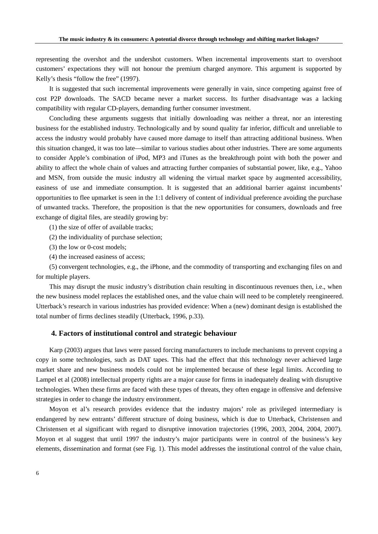representing the overshot and the undershot customers. When incremental improvements start to overshoot customers' expectations they will not honour the premium charged anymore. This argument is supported by Kelly's thesis "follow the free" (1997).

It is suggested that such incremental improvements were generally in vain, since competing against free of cost P2P downloads. The SACD became never a market success. Its further disadvantage was a lacking compatibility with regular CD-players, demanding further consumer investment.

Concluding these arguments suggests that initially downloading was neither a threat, nor an interesting business for the established industry. Technologically and by sound quality far inferior, difficult and unreliable to access the industry would probably have caused more damage to itself than attracting additional business. When this situation changed, it was too late—similar to various studies about other industries. There are some arguments to consider Apple's combination of iPod, MP3 and iTunes as the breakthrough point with both the power and ability to affect the whole chain of values and attracting further companies of substantial power, like, e.g., Yahoo and MSN, from outside the music industry all widening the virtual market space by augmented accessibility, easiness of use and immediate consumption. It is suggested that an additional barrier against incumbents' opportunities to flee upmarket is seen in the 1:1 delivery of content of individual preference avoiding the purchase of unwanted tracks. Therefore, the proposition is that the new opportunities for consumers, downloads and free exchange of digital files, are steadily growing by:

(1) the size of offer of available tracks;

(2) the individuality of purchase selection;

(3) the low or 0-cost models;

(4) the increased easiness of access;

(5) convergent technologies, e.g., the iPhone, and the commodity of transporting and exchanging files on and for multiple players.

This may disrupt the music industry's distribution chain resulting in discontinuous revenues then, i.e., when the new business model replaces the established ones, and the value chain will need to be completely reengineered. Utterback's research in various industries has provided evidence: When a (new) dominant design is established the total number of firms declines steadily (Utterback, 1996, p.33).

### **4. Factors of institutional control and strategic behaviour**

Karp (2003) argues that laws were passed forcing manufacturers to include mechanisms to prevent copying a copy in some technologies, such as DAT tapes. This had the effect that this technology never achieved large market share and new business models could not be implemented because of these legal limits. According to Lampel et al (2008) intellectual property rights are a major cause for firms in inadequately dealing with disruptive technologies. When these firms are faced with these types of threats, they often engage in offensive and defensive strategies in order to change the industry environment.

Moyon et al's research provides evidence that the industry majors' role as privileged intermediary is endangered by new entrants' different structure of doing business, which is due to Utterback, Christensen and Christensen et al significant with regard to disruptive innovation trajectories (1996, 2003, 2004, 2004, 2007). Moyon et al suggest that until 1997 the industry's major participants were in control of the business's key elements, dissemination and format (see Fig. 1). This model addresses the institutional control of the value chain,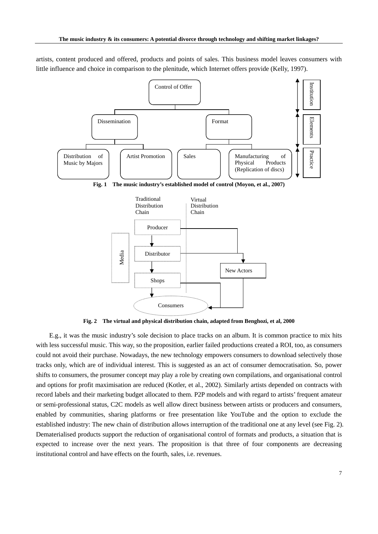artists, content produced and offered, products and points of sales. This business model leaves consumers with little influence and choice in comparison to the plenitude, which Internet offers provide (Kelly, 1997).



**Fig. 2 The virtual and physical distribution chain, adapted from Benghozi, et al, 2000** 

E.g., it was the music industry's sole decision to place tracks on an album. It is common practice to mix hits with less successful music. This way, so the proposition, earlier failed productions created a ROI, too, as consumers could not avoid their purchase. Nowadays, the new technology empowers consumers to download selectively those tracks only, which are of individual interest. This is suggested as an act of consumer democratisation. So, power shifts to consumers, the prosumer concept may play a role by creating own compilations, and organisational control and options for profit maximisation are reduced (Kotler, et al., 2002). Similarly artists depended on contracts with record labels and their marketing budget allocated to them. P2P models and with regard to artists' frequent amateur or semi-professional status, C2C models as well allow direct business between artists or producers and consumers, enabled by communities, sharing platforms or free presentation like YouTube and the option to exclude the established industry: The new chain of distribution allows interruption of the traditional one at any level (see Fig. 2). Dematerialised products support the reduction of organisational control of formats and products, a situation that is expected to increase over the next years. The proposition is that three of four components are decreasing institutional control and have effects on the fourth, sales, i.e. revenues.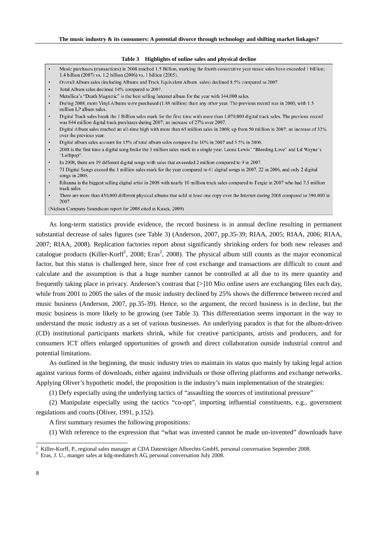#### **Table 3 Highlights of online sales and physical decline**

- Music purchases (transactions) in 2008 reached 1.5 Billion, marking the fourth consecutive year music sales have exceeded 1 billion; 1.4 billion (2007) vs. 1.2 billion (2006) vs. 1 billion (2005).
- Overall Album sales (including Albums and Track Equivalent Album sales) declined 8.5% compared to 2007.
- Total Album sales declined 14% compared to 2007.
- Metallica's "Death Magnetic" is the best selling Internet album for the year with 144,000 sales.
- During 2008, more Vinyl Albums were purchased (1.88 million) than any other year. The previous record was in 2000, with 1.5 million LP album sales.
- Digital Track sales break the 1 Billion sales mark for the first time with more than 1,070,000 digital track sales. The previous record was 844 million digital track purchases during 2007; an increase of 27% over 2007.
- Digital Album sales reached an all-time high with more than 65 million sales in 2008; up from 50 million in 2007; an increase of 32% over the previous year.
- Digital album sales account for 15% of total album sales compared to 10% in 2007 and 5.5% in 2006.
- 2008 is the first time a digital song broke the 3 million sales mark in a single year. Leona Lewis' "Bleeding Love" and Lil Wayne's "Lollipop".
- In 2008, there are 19 different digital songs with sales that exceeded 2 million compared to 9 in 2007.
- 71 Digital Songs exceed the 1 million sales mark for the year compared to 41 digital songs in 2007, 22 in 2006, and only 2 digital songs in 2005.
- Rihanna is the biggest selling digital artist in 2008 with nearly 10 million track sales compared to Fergie in 2007 who had 7.5 million track sales
- There are more than 450,000 different physical albums that sold at least one copy over the Internet during 2008 compared to 390,000 in 2007.

(Nielsen Company Soundscan report for 2008 cited in Kusek. 2009)

As long-term statistics provide evidence, the record business is in annual decline resulting in permanent substantial decrease of sales figures (see Table 3) (Anderson, 2007, pp.35-39; RIAA, 2005; RIAA, 2006; RIAA, 2007; RIAA, 2008). Replication factories report about significantly shrinking orders for both new releases and catalogue products (Killer-Korff<sup>1</sup>, 2008; Eras<sup>2</sup>, 2008). The physical album still counts as the major economical factor, but this status is challenged here, since free of cost exchange and transactions are difficult to count and calculate and the assumption is that a huge number cannot be controlled at all due to its mere quantity and frequently taking place in privacy. Anderson's contrast that [>]10 Mio online users are exchanging files each day, while from 2001 to 2005 the sales of the music industry declined by 25% shows the difference between record and music business (Anderson, 2007, pp.35-39). Hence, so the argument, the record business is in decline, but the music business is more likely to be growing (see Table 3). This differentiation seems important in the way to understand the music industry as a set of various businesses. An underlying paradox is that for the album-driven (CD) institutional participants markets shrink, while for creative participants, artists and producers, and for consumers ICT offers enlarged opportunities of growth and direct collaboration outside industrial control and potential limitations.

As outlined in the beginning, the music industry tries to maintain its status quo mainly by taking legal action against various forms of downloads, either against individuals or those offering platforms and exchange networks. Applying Oliver's hypothetic model, the proposition is the industry's main implementation of the strategies:

(1) Defy especially using the underlying tactics of "assaulting the sources of institutional pressure"

(2) Manipulate especially using the tactics "co-opt"*,* importing influential constituents, e.g., government regulations and courts (Oliver, 1991, p.152).

A first summary resumes the following propositions:

(1) With reference to the expression that "what was invented cannot be made un-invented" downloads have

<sup>&</sup>lt;sup>1</sup> Killer-Korff, P., regional sales manager at CDA Datenträger Albrechts GmbH, personal conversation September 2008.

<sup>&</sup>lt;sup>2</sup> Eras, J. U., manger sales at kdg-mediatech AG, personal conversation July 2008.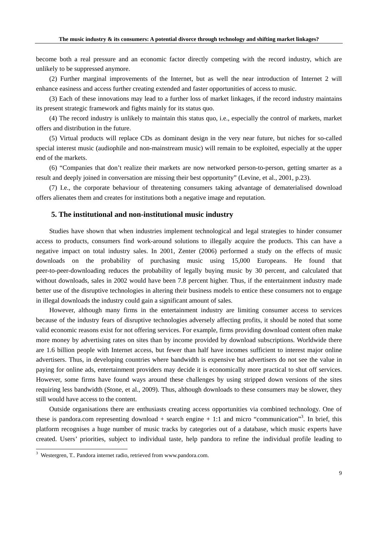become both a real pressure and an economic factor directly competing with the record industry, which are unlikely to be suppressed anymore.

(2) Further marginal improvements of the Internet, but as well the near introduction of Internet 2 will enhance easiness and access further creating extended and faster opportunities of access to music.

(3) Each of these innovations may lead to a further loss of market linkages, if the record industry maintains its present strategic framework and fights mainly for its status quo.

(4) The record industry is unlikely to maintain this status quo, i.e., especially the control of markets, market offers and distribution in the future.

(5) Virtual products will replace CDs as dominant design in the very near future, but niches for so-called special interest music (audiophile and non-mainstream music) will remain to be exploited, especially at the upper end of the markets.

(6) "Companies that don't realize their markets are now networked person-to-person, getting smarter as a result and deeply joined in conversation are missing their best opportunity" (Levine, et al., 2001, p.23).

(7) I.e., the corporate behaviour of threatening consumers taking advantage of dematerialised download offers alienates them and creates for institutions both a negative image and reputation.

## **5. The institutional and non-institutional music industry**

Studies have shown that when industries implement technological and legal strategies to hinder consumer access to products, consumers find work-around solutions to illegally acquire the products. This can have a negative impact on total industry sales. In 2001, Zenter (2006) performed a study on the effects of music downloads on the probability of purchasing music using 15,000 Europeans. He found that peer-to-peer-downloading reduces the probability of legally buying music by 30 percent, and calculated that without downloads, sales in 2002 would have been 7.8 percent higher. Thus, if the entertainment industry made better use of the disruptive technologies in altering their business models to entice these consumers not to engage in illegal downloads the industry could gain a significant amount of sales.

However, although many firms in the entertainment industry are limiting consumer access to services because of the industry fears of disruptive technologies adversely affecting profits, it should be noted that some valid economic reasons exist for not offering services. For example, firms providing download content often make more money by advertising rates on sites than by income provided by download subscriptions. Worldwide there are 1.6 billion people with Internet access, but fewer than half have incomes sufficient to interest major online advertisers. Thus, in developing countries where bandwidth is expensive but advertisers do not see the value in paying for online ads, entertainment providers may decide it is economically more practical to shut off services. However, some firms have found ways around these challenges by using stripped down versions of the sites requiring less bandwidth (Stone, et al., 2009). Thus, although downloads to these consumers may be slower, they still would have access to the content.

Outside organisations there are enthusiasts creating access opportunities via combined technology. One of these is pandora.com representing download  $+$  search engine  $+1:1$  and micro "communication"<sup>3</sup>. In brief, this platform recognises a huge number of music tracks by categories out of a database, which music experts have created. Users' priorities, subject to individual taste, help pandora to refine the individual profile leading to

 3 Westergren, T.. Pandora internet radio, retrieved from www.pandora.com.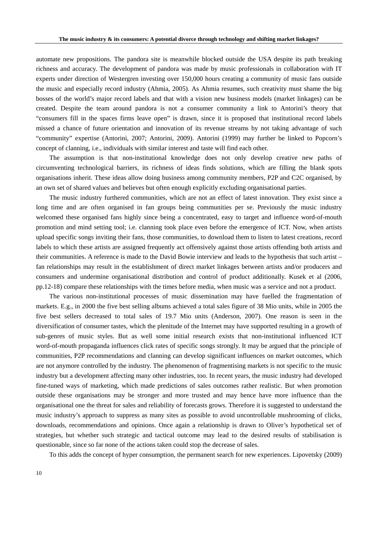automate new propositions. The pandora site is meanwhile blocked outside the USA despite its path breaking richness and accuracy. The development of pandora was made by music professionals in collaboration with IT experts under direction of Westergren investing over 150,000 hours creating a community of music fans outside the music and especially record industry (Ahmia, 2005). As Ahmia resumes, such creativity must shame the big bosses of the world's major record labels and that with a vision new business models (market linkages) can be created. Despite the team around pandora is not a consumer community a link to Antorini's theory that "consumers fill in the spaces firms leave open" is drawn, since it is proposed that institutional record labels missed a chance of future orientation and innovation of its revenue streams by not taking advantage of such "community" expertise (Antorini, 2007; Antorini, 2009). Antorini (1999) may further be linked to Popcorn's concept of clanning, i.e., individuals with similar interest and taste will find each other.

The assumption is that non-institutional knowledge does not only develop creative new paths of circumventing technological barriers, its richness of ideas finds solutions, which are filling the blank spots organisations inherit. These ideas allow doing business among community members, P2P and C2C organised, by an own set of shared values and believes but often enough explicitly excluding organisational parties.

The music industry furthered communities, which are not an effect of latest innovation. They exist since a long time and are often organised in fan groups being communities per se. Previously the music industry welcomed these organised fans highly since being a concentrated, easy to target and influence word-of-mouth promotion and mind setting tool; i.e. clanning took place even before the emergence of ICT. Now, when artists upload specific songs inviting their fans, those communities, to download them to listen to latest creations, record labels to which these artists are assigned frequently act offensively against those artists offending both artists and their communities. A reference is made to the David Bowie interview and leads to the hypothesis that such artist – fan relationships may result in the establishment of direct market linkages between artists and/or producers and consumers and undermine organisational distribution and control of product additionally. Kusek et al (2006, pp.12-18) compare these relationships with the times before media, when music was a service and not a product.

The various non-institutional processes of music dissemination may have fuelled the fragmentation of markets. E.g., in 2000 the five best selling albums achieved a total sales figure of 38 Mio units, while in 2005 the five best sellers decreased to total sales of 19.7 Mio units (Anderson, 2007). One reason is seen in the diversification of consumer tastes, which the plenitude of the Internet may have supported resulting in a growth of sub-genres of music styles. But as well some initial research exists that non-institutional influenced ICT word-of-mouth propaganda influences click rates of specific songs strongly. It may be argued that the principle of communities, P2P recommendations and clanning can develop significant influences on market outcomes, which are not anymore controlled by the industry. The phenomenon of fragmentising markets is not specific to the music industry but a development affecting many other industries, too. In recent years, the music industry had developed fine-tuned ways of marketing, which made predictions of sales outcomes rather realistic. But when promotion outside these organisations may be stronger and more trusted and may hence have more influence than the organisational one the threat for sales and reliability of forecasts grows. Therefore it is suggested to understand the music industry's approach to suppress as many sites as possible to avoid uncontrollable mushrooming of clicks, downloads, recommendations and opinions. Once again a relationship is drawn to Oliver's hypothetical set of strategies, but whether such strategic and tactical outcome may lead to the desired results of stabilisation is questionable, since so far none of the actions taken could stop the decrease of sales.

To this adds the concept of hyper consumption, the permanent search for new experiences. Lipovetsky (2009)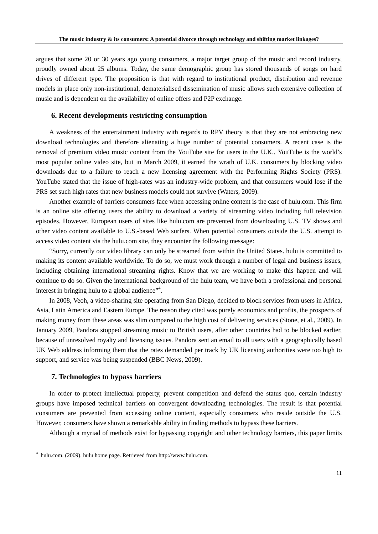argues that some 20 or 30 years ago young consumers, a major target group of the music and record industry, proudly owned about 25 albums. Today, the same demographic group has stored thousands of songs on hard drives of different type. The proposition is that with regard to institutional product, distribution and revenue models in place only non-institutional, dematerialised dissemination of music allows such extensive collection of music and is dependent on the availability of online offers and P2P exchange.

## **6. Recent developments restricting consumption**

A weakness of the entertainment industry with regards to RPV theory is that they are not embracing new download technologies and therefore alienating a huge number of potential consumers. A recent case is the removal of premium video music content from the YouTube site for users in the U.K.. YouTube is the world's most popular online video site, but in March 2009, it earned the wrath of U.K. consumers by blocking video downloads due to a failure to reach a new licensing agreement with the Performing Rights Society (PRS). YouTube stated that the issue of high-rates was an industry-wide problem, and that consumers would lose if the PRS set such high rates that new business models could not survive (Waters, 2009).

Another example of barriers consumers face when accessing online content is the case of hulu.com. This firm is an online site offering users the ability to download a variety of streaming video including full television episodes. However, European users of sites like hulu.com are prevented from downloading U.S. TV shows and other video content available to U.S.-based Web surfers. When potential consumers outside the U.S. attempt to access video content via the hulu.com site, they encounter the following message:

"Sorry, currently our video library can only be streamed from within the United States. hulu is committed to making its content available worldwide. To do so, we must work through a number of legal and business issues, including obtaining international streaming rights. Know that we are working to make this happen and will continue to do so. Given the international background of the hulu team, we have both a professional and personal interest in bringing hulu to a global audience"<sup>4</sup>.

In 2008, Veoh, a video-sharing site operating from San Diego, decided to block services from users in Africa, Asia, Latin America and Eastern Europe. The reason they cited was purely economics and profits, the prospects of making money from these areas was slim compared to the high cost of delivering services (Stone, et al., 2009). In January 2009, Pandora stopped streaming music to British users, after other countries had to be blocked earlier, because of unresolved royalty and licensing issues. Pandora sent an email to all users with a geographically based UK Web address informing them that the rates demanded per track by UK licensing authorities were too high to support, and service was being suspended (BBC News, 2009).

#### **7. Technologies to bypass barriers**

In order to protect intellectual property, prevent competition and defend the status quo, certain industry groups have imposed technical barriers on convergent downloading technologies. The result is that potential consumers are prevented from accessing online content, especially consumers who reside outside the U.S. However, consumers have shown a remarkable ability in finding methods to bypass these barriers.

Although a myriad of methods exist for bypassing copyright and other technology barriers, this paper limits

 4 hulu.com. (2009). hulu home page. Retrieved from http://www.hulu.com.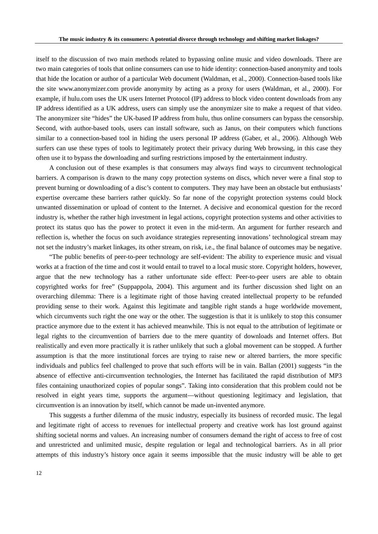itself to the discussion of two main methods related to bypassing online music and video downloads. There are two main categories of tools that online consumers can use to hide identity: connection-based anonymity and tools that hide the location or author of a particular Web document (Waldman, et al., 2000). Connection-based tools like the site www.anonymizer.com provide anonymity by acting as a proxy for users (Waldman, et al., 2000). For example, if hulu.com uses the UK users Internet Protocol (IP) address to block video content downloads from any IP address identified as a UK address, users can simply use the anonymizer site to make a request of that video. The anonymizer site "hides" the UK-based IP address from hulu, thus online consumers can bypass the censorship. Second, with author-based tools, users can install software, such as Janus, on their computers which functions similar to a connection-based tool in hiding the users personal IP address (Gaber, et al., 2006). Although Web surfers can use these types of tools to legitimately protect their privacy during Web browsing, in this case they often use it to bypass the downloading and surfing restrictions imposed by the entertainment industry.

A conclusion out of these examples is that consumers may always find ways to circumvent technological barriers. A comparison is drawn to the many copy protection systems on discs, which never were a final stop to prevent burning or downloading of a disc's content to computers. They may have been an obstacle but enthusiasts' expertise overcame these barriers rather quickly. So far none of the copyright protection systems could block unwanted dissemination or upload of content to the Internet. A decisive and economical question for the record industry is, whether the rather high investment in legal actions, copyright protection systems and other activities to protect its status quo has the power to protect it even in the mid-term. An argument for further research and reflection is, whether the focus on such avoidance strategies representing innovations' technological stream may not set the industry's market linkages, its other stream, on risk, i.e., the final balance of outcomes may be negative.

"The public benefits of peer-to-peer technology are self-evident: The ability to experience music and visual works at a fraction of the time and cost it would entail to travel to a local music store. Copyright holders, however, argue that the new technology has a rather unfortunate side effect: Peer-to-peer users are able to obtain copyrighted works for free" (Suppappola, 2004). This argument and its further discussion shed light on an overarching dilemma: There is a legitimate right of those having created intellectual property to be refunded providing sense to their work. Against this legitimate and tangible right stands a huge worldwide movement, which circumvents such right the one way or the other. The suggestion is that it is unlikely to stop this consumer practice anymore due to the extent it has achieved meanwhile. This is not equal to the attribution of legitimate or legal rights to the circumvention of barriers due to the mere quantity of downloads and Internet offers. But realistically and even more practically it is rather unlikely that such a global movement can be stopped. A further assumption is that the more institutional forces are trying to raise new or altered barriers, the more specific individuals and publics feel challenged to prove that such efforts will be in vain. Ballan (2001) suggests "in the absence of effective anti-circumvention technologies, the Internet has facilitated the rapid distribution of MP3 files containing unauthorized copies of popular songs". Taking into consideration that this problem could not be resolved in eight years time, supports the argument—without questioning legitimacy and legislation, that circumvention is an innovation by itself, which cannot be made un-invented anymore.

This suggests a further dilemma of the music industry, especially its business of recorded music. The legal and legitimate right of access to revenues for intellectual property and creative work has lost ground against shifting societal norms and values. An increasing number of consumers demand the right of access to free of cost and unrestricted and unlimited music, despite regulation or legal and technological barriers. As in all prior attempts of this industry's history once again it seems impossible that the music industry will be able to get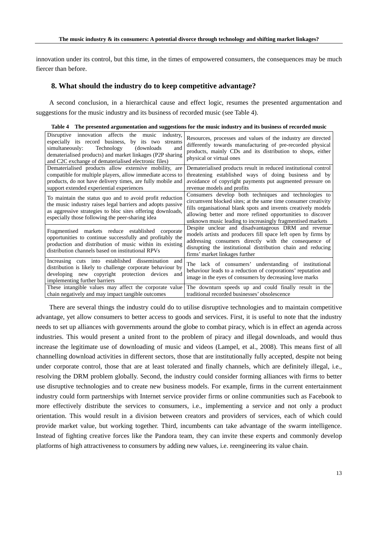innovation under its control, but this time, in the times of empowered consumers, the consequences may be much fiercer than before.

## **8. What should the industry do to keep competitive advantage?**

A second conclusion, in a hierarchical cause and effect logic, resumes the presented argumentation and suggestions for the music industry and its business of recorded music (see Table 4).

| Disruptive innovation affects the music industry,<br>especially its record business,<br>by its two streams<br>Technology<br>(downloads)<br>simultaneously:<br>and<br>dematerialised products) and market linkages (P2P sharing<br>and C2C exchange of dematerialised electronic files) | Resources, processes and values of the industry are directed<br>differently towards manufacturing of pre-recorded physical<br>products, mainly CDs and its distribution to shops, either<br>physical or virtual ones                                                                                                  |
|----------------------------------------------------------------------------------------------------------------------------------------------------------------------------------------------------------------------------------------------------------------------------------------|-----------------------------------------------------------------------------------------------------------------------------------------------------------------------------------------------------------------------------------------------------------------------------------------------------------------------|
| Dematerialised products allow extensive mobility, are                                                                                                                                                                                                                                  | Dematerialised products result in reduced institutional control                                                                                                                                                                                                                                                       |
| compatible for multiple players, allow immediate access to                                                                                                                                                                                                                             | threatening established ways of doing business and by                                                                                                                                                                                                                                                                 |
| products, do not have delivery times, are fully mobile and                                                                                                                                                                                                                             | avoidance of copyright payments put augmented pressure on                                                                                                                                                                                                                                                             |
| support extended experiential experiences                                                                                                                                                                                                                                              | revenue models and profits                                                                                                                                                                                                                                                                                            |
| To maintain the status quo and to avoid profit reduction<br>the music industry raises legal barriers and adopts passive<br>as aggressive strategies to bloc sites offering downloads,<br>especially those following the peer-sharing idea                                              | Consumers develop both techniques and technologies to<br>circumvent blocked sites; at the same time consumer creativity<br>fills organisational blank spots and invents creatively models<br>allowing better and more refined opportunities to discover<br>unknown music leading to increasingly fragmentised markets |
| Fragmentised markets reduce established                                                                                                                                                                                                                                                | Despite unclear and disadvantageous DRM and revenue                                                                                                                                                                                                                                                                   |
| corporate                                                                                                                                                                                                                                                                              | models artists and producers fill space left open by firms by                                                                                                                                                                                                                                                         |
| opportunities to continue successfully and profitably the                                                                                                                                                                                                                              | addressing consumers directly with the consequence of                                                                                                                                                                                                                                                                 |
| production and distribution of music within its existing                                                                                                                                                                                                                               | disrupting the institutional distribution chain and reducing                                                                                                                                                                                                                                                          |
| distribution channels based on institutional RPVs                                                                                                                                                                                                                                      | firms' market linkages further                                                                                                                                                                                                                                                                                        |
| Increasing cuts into established dissemination<br>and<br>distribution is likely to challenge corporate behaviour by<br>developing new copyright protection devices<br>and<br>implementing further barriers                                                                             | The lack of consumers' understanding of institutional<br>behaviour leads to a reduction of corporations' reputation and<br>image in the eyes of consumers by decreasing love marks                                                                                                                                    |
| These intangible values may affect the corporate value                                                                                                                                                                                                                                 | The downturn speeds up and could finally result in the                                                                                                                                                                                                                                                                |
| chain negatively and may impact tangible outcomes                                                                                                                                                                                                                                      | traditional recorded businesses' obsolescence                                                                                                                                                                                                                                                                         |

**Table 4 The presented argumentation and suggestions for the music industry and its business of recorded music** 

There are several things the industry could do to utilise disruptive technologies and to maintain competitive advantage, yet allow consumers to better access to goods and services. First, it is useful to note that the industry needs to set up alliances with governments around the globe to combat piracy, which is in effect an agenda across industries. This would present a united front to the problem of piracy and illegal downloads, and would thus increase the legitimate use of downloading of music and videos (Lampel, et al., 2008). This means first of all channelling download activities in different sectors, those that are institutionally fully accepted, despite not being under corporate control, those that are at least tolerated and finally channels, which are definitely illegal, i.e., resolving the DRM problem globally. Second, the industry could consider forming alliances with firms to better use disruptive technologies and to create new business models. For example, firms in the current entertainment industry could form partnerships with Internet service provider firms or online communities such as Facebook to more effectively distribute the services to consumers, i.e., implementing a service and not only a product orientation. This would result in a division between creators and providers of services, each of which could provide market value, but working together. Third, incumbents can take advantage of the swarm intelligence. Instead of fighting creative forces like the Pandora team, they can invite these experts and commonly develop platforms of high attractiveness to consumers by adding new values, i.e. reengineering its value chain.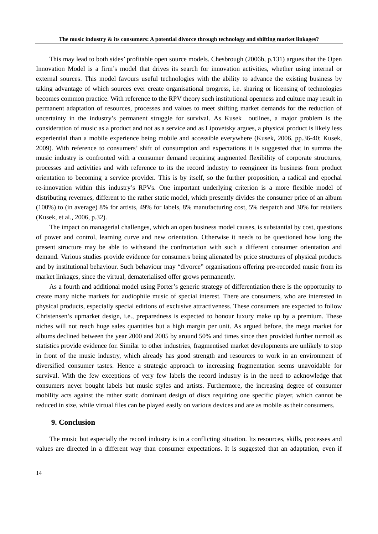This may lead to both sides' profitable open source models. Chesbrough (2006b, p.131) argues that the Open Innovation Model is a firm's model that drives its search for innovation activities, whether using internal or external sources. This model favours useful technologies with the ability to advance the existing business by taking advantage of which sources ever create organisational progress, i.e. sharing or licensing of technologies becomes common practice. With reference to the RPV theory such institutional openness and culture may result in permanent adaptation of resources, processes and values to meet shifting market demands for the reduction of uncertainty in the industry's permanent struggle for survival. As Kusek outlines, a major problem is the consideration of music as a product and not as a service and as Lipovetsky argues, a physical product is likely less experiential than a mobile experience being mobile and accessible everywhere (Kusek, 2006, pp.36-40; Kusek, 2009). With reference to consumers' shift of consumption and expectations it is suggested that in summa the music industry is confronted with a consumer demand requiring augmented flexibility of corporate structures, processes and activities and with reference to its the record industry to reengineer its business from product orientation to becoming a service provider. This is by itself, so the further proposition, a radical and epochal re-innovation within this industry's RPVs. One important underlying criterion is a more flexible model of distributing revenues, different to the rather static model, which presently divides the consumer price of an album (100%) to (in average) 8% for artists, 49% for labels, 8% manufacturing cost, 5% despatch and 30% for retailers (Kusek, et al., 2006, p.32).

The impact on managerial challenges, which an open business model causes, is substantial by cost, questions of power and control, learning curve and new orientation. Otherwise it needs to be questioned how long the present structure may be able to withstand the confrontation with such a different consumer orientation and demand. Various studies provide evidence for consumers being alienated by price structures of physical products and by institutional behaviour. Such behaviour may "divorce" organisations offering pre-recorded music from its market linkages, since the virtual, dematerialised offer grows permanently.

As a fourth and additional model using Porter's generic strategy of differentiation there is the opportunity to create many niche markets for audiophile music of special interest. There are consumers, who are interested in physical products, especially special editions of exclusive attractiveness. These consumers are expected to follow Christensen's upmarket design, i.e., preparedness is expected to honour luxury make up by a premium. These niches will not reach huge sales quantities but a high margin per unit. As argued before, the mega market for albums declined between the year 2000 and 2005 by around 50% and times since then provided further turmoil as statistics provide evidence for. Similar to other industries, fragmentised market developments are unlikely to stop in front of the music industry, which already has good strength and resources to work in an environment of diversified consumer tastes. Hence a strategic approach to increasing fragmentation seems unavoidable for survival. With the few exceptions of very few labels the record industry is in the need to acknowledge that consumers never bought labels but music styles and artists. Furthermore, the increasing degree of consumer mobility acts against the rather static dominant design of discs requiring one specific player, which cannot be reduced in size, while virtual files can be played easily on various devices and are as mobile as their consumers.

# **9. Conclusion**

The music but especially the record industry is in a conflicting situation. Its resources, skills, processes and values are directed in a different way than consumer expectations. It is suggested that an adaptation, even if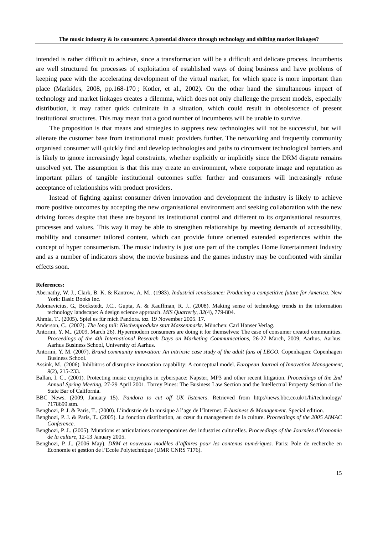intended is rather difficult to achieve, since a transformation will be a difficult and delicate process. Incumbents are well structured for processes of exploitation of established ways of doing business and have problems of keeping pace with the accelerating development of the virtual market, for which space is more important than place (Markides, 2008, pp.168-170 ; Kotler, et al., 2002). On the other hand the simultaneous impact of technology and market linkages creates a dilemma, which does not only challenge the present models, especially distribution, it may rather quick culminate in a situation, which could result in obsolescence of present institutional structures. This may mean that a good number of incumbents will be unable to survive.

The proposition is that means and strategies to suppress new technologies will not be successful, but will alienate the customer base from institutional music providers further. The networking and frequently community organised consumer will quickly find and develop technologies and paths to circumvent technological barriers and is likely to ignore increasingly legal constraints, whether explicitly or implicitly since the DRM dispute remains unsolved yet. The assumption is that this may create an environment, where corporate image and reputation as important pillars of tangible institutional outcomes suffer further and consumers will increasingly refuse acceptance of relationships with product providers.

Instead of fighting against consumer driven innovation and development the industry is likely to achieve more positive outcomes by accepting the new organisational environment and seeking collaboration with the new driving forces despite that these are beyond its institutional control and different to its organisational resources, processes and values. This way it may be able to strengthen relationships by meeting demands of accessibility, mobility and consumer tailored content, which can provide future oriented extended experiences within the concept of hyper consumerism. The music industry is just one part of the complex Home Entertainment Industry and as a number of indicators show, the movie business and the games industry may be confronted with similar effects soon.

#### **References:**

- Abernathy, W. J., Clark, B. K. & Kantrow, A. M.. (1983). *Industrial renaissance: Producing a competitive future for America*. New York: Basic Books Inc.
- Adomavicius, G., Bockstedt, J.C., Gupta, A. & Kauffman, R. J.. (2008). Making sense of technology trends in the information technology landscape: A design science approach. *MIS Quarterly, 32*(4), 779-804.

Ahmia, T.. (2005). Spiel es für mich Pandora. *taz*. 19 November 2005. 17.

- Anderson, C.. (2007). *The long tail: Nischenprodukte statt Massenmarkt*. München: Carl Hanser Verlag.
- Antorini, Y. M.. (2009, March 26). Hypermodern consumers are doing it for themselves: The case of consumer created communities. *Proceedings of the 4th International Research Days on Marketing Communications*, 26-27 March, 2009, Aarhus. Aarhus: Aarhus Business School, University of Aarhus.
- Antorini, Y. M. (2007). *Brand community innovation: An intrinsic case study of the adult fans of LEGO.* Copenhagen: Copenhagen Business School.
- Assink, M.. (2006). Inhibitors of disruptive innovation capability: A conceptual model. *European Journal of Innovation Management, 9*(2), 215-233.
- Ballan, I. C.. (2001). Protecting music copyrights in cyberspace: Napster, MP3 and other recent litigation. *Proceedings of the 2nd Annual Spring Meeting,* 27-29 April 2001. Torrey Pines: The Business Law Section and the Intellectual Property Section of the State Bar of California.
- BBC News. (2009, January 15). *Pandora to cut off UK listeners*. Retrieved from http://news.bbc.co.uk/1/hi/technology/ 7178699.stm.
- Benghozi, P. J. & Paris, T.. (2000). L'industrie de la musique à l'age de l'Internet. *E-business & Management.* Special edition.
- Benghozi, P. J. & Paris, T.. (2005). La fonction distribution, au cœur du management de la culture. *Proceedings of the 2005 AIMAC Conference*.
- Benghozi, P. J.. (2005). Mutations et articulations contemporaines des industries culturelles. *Proceedings of the Journées d'économie de la culture,* 12-13 January 2005.
- Benghozi, P. J.. (2006 May). *DRM et nouveaux modèles d'affaires pour les contenus numériques*. Paris: Pole de recherche en Economie et gestion de l'Ecole Polytechnique (UMR CNRS 7176).